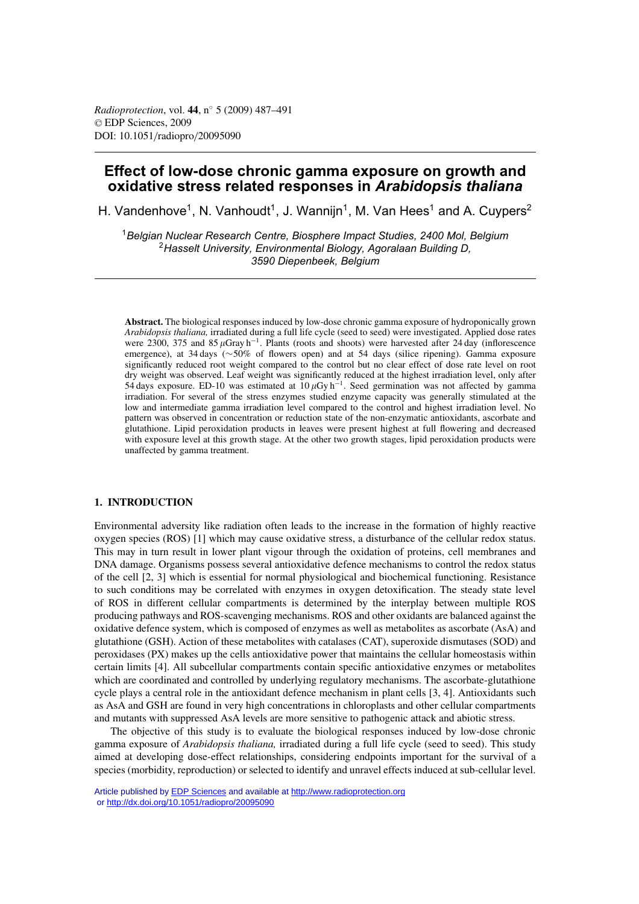# **Effect of low-dose chronic gamma exposure on growth and oxidative stress related responses in** *Arabidopsis thaliana*

H. Vandenhove<sup>1</sup>, N. Vanhoudt<sup>1</sup>, J. Wanniin<sup>1</sup>, M. Van Hees<sup>1</sup> and A. Cuvpers<sup>2</sup>

<sup>1</sup>*Belgian Nuclear Research Centre, Biosphere Impact Studies, 2400 Mol, Belgium* <sup>2</sup>*Hasselt University, Environmental Biology, Agoralaan Building D, 3590 Diepenbeek, Belgium*

**Abstract.** The biological responses induced by low-dose chronic gamma exposure of hydroponically grown *Arabidopsis thaliana,* irradiated during a full life cycle (seed to seed) were investigated. Applied dose rates were 2300, 375 and 85  $\mu$ Gray h<sup>-1</sup>. Plants (roots and shoots) were harvested after 24 day (inflorescence emergence), at 34 days (∼50% of flowers open) and at 54 days (silice ripening). Gamma exposure significantly reduced root weight compared to the control but no clear effect of dose rate level on root dry weight was observed. Leaf weight was significantly reduced at the highest irradiation level, only after 54 days exposure. ED-10 was estimated at  $10 \mu Gy h^{-1}$ . Seed germination was not affected by gamma irradiation. For several of the stress enzymes studied enzyme capacity was generally stimulated at the low and intermediate gamma irradiation level compared to the control and highest irradiation level. No pattern was observed in concentration or reduction state of the non-enzymatic antioxidants, ascorbate and glutathione. Lipid peroxidation products in leaves were present highest at full flowering and decreased with exposure level at this growth stage. At the other two growth stages, lipid peroxidation products were unaffected by gamma treatment.

### **1. INTRODUCTION**

Environmental adversity like radiation often leads to the increase in the formation of highly reactive oxygen species (ROS) [1] which may cause oxidative stress, a disturbance of the cellular redox status. This may in turn result in lower plant vigour through the oxidation of proteins, cell membranes and DNA damage. Organisms possess several antioxidative defence mechanisms to control the redox status of the cell [2, 3] which is essential for normal physiological and biochemical functioning. Resistance to such conditions may be correlated with enzymes in oxygen detoxification. The steady state level of ROS in different cellular compartments is determined by the interplay between multiple ROS producing pathways and ROS-scavenging mechanisms. ROS and other oxidants are balanced against the oxidative defence system, which is composed of enzymes as well as metabolites as ascorbate (AsA) and glutathione (GSH). Action of these metabolites with catalases (CAT), superoxide dismutases (SOD) and peroxidases (PX) makes up the cells antioxidative power that maintains the cellular homeostasis within certain limits [4]. All subcellular compartments contain specific antioxidative enzymes or metabolites which are coordinated and controlled by underlying regulatory mechanisms. The ascorbate-glutathione cycle plays a central role in the antioxidant defence mechanism in plant cells [3, 4]. Antioxidants such as AsA and GSH are found in very high concentrations in chloroplasts and other cellular compartments and mutants with suppressed AsA levels are more sensitive to pathogenic attack and abiotic stress.

The objective of this study is to evaluate the biological responses induced by low-dose chronic gamma exposure of *Arabidopsis thaliana,* irradiated during a full life cycle (seed to seed). This study aimed at developing dose-effect relationships, considering endpoints important for the survival of a species (morbidity, reproduction) or selected to identify and unravel effects induced at sub-cellular level.

Article published by [EDP Sciences](http://www.edpsciences.org) and available at<http://www.radioprotection.org> or <http://dx.doi.org/10.1051/radiopro/20095090>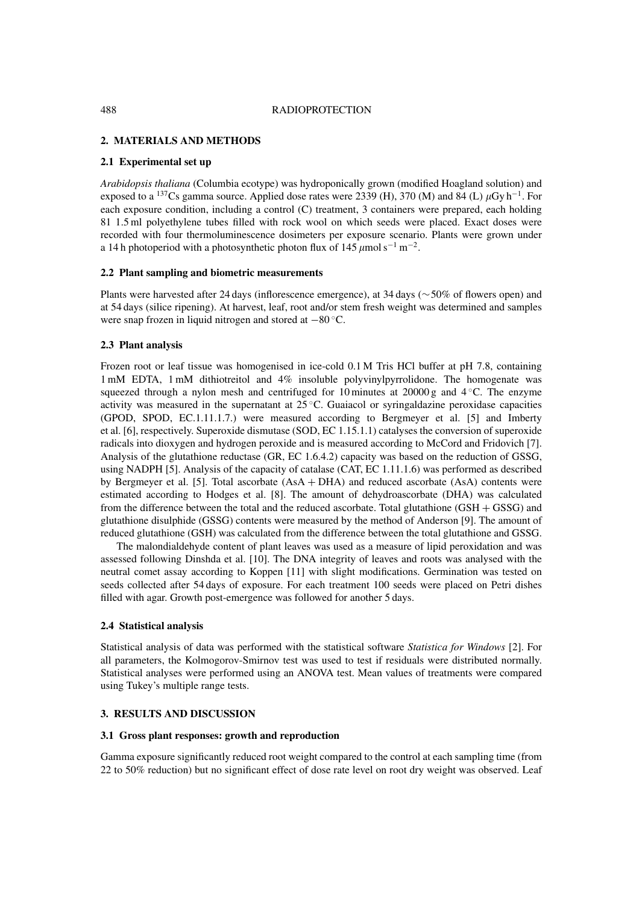#### 488 RADIOPROTECTION

# **2. MATERIALS AND METHODS**

### **2.1 Experimental set up**

*Arabidopsis thaliana* (Columbia ecotype) was hydroponically grown (modified Hoagland solution) and exposed to a <sup>137</sup>Cs gamma source. Applied dose rates were 2339 (H), 370 (M) and 84 (L)  $\mu$ Gy h<sup>-1</sup>. For each exposure condition, including a control (C) treatment, 3 containers were prepared, each holding 81 1.5 ml polyethylene tubes filled with rock wool on which seeds were placed. Exact doses were recorded with four thermoluminescence dosimeters per exposure scenario. Plants were grown under a 14 h photoperiod with a photosynthetic photon flux of  $145 \mu$ mol s<sup>-1</sup> m<sup>-2</sup>.

#### **2.2 Plant sampling and biometric measurements**

Plants were harvested after 24 days (inflorescence emergence), at 34 days (∼50% of flowers open) and at 54 days (silice ripening). At harvest, leaf, root and/or stem fresh weight was determined and samples were snap frozen in liquid nitrogen and stored at −80 ◦C.

### **2.3 Plant analysis**

Frozen root or leaf tissue was homogenised in ice-cold 0.1 M Tris HCl buffer at pH 7.8, containing 1 mM EDTA, 1 mM dithiotreitol and 4% insoluble polyvinylpyrrolidone. The homogenate was squeezed through a nylon mesh and centrifuged for 10 minutes at 20000 g and  $4\degree$ C. The enzyme activity was measured in the supernatant at 25 ◦C. Guaiacol or syringaldazine peroxidase capacities (GPOD, SPOD, EC.1.11.1.7.) were measured according to Bergmeyer et al. [5] and Imberty et al. [6], respectively. Superoxide dismutase (SOD, EC 1.15.1.1) catalyses the conversion of superoxide radicals into dioxygen and hydrogen peroxide and is measured according to McCord and Fridovich [7]. Analysis of the glutathione reductase (GR, EC 1.6.4.2) capacity was based on the reduction of GSSG, using NADPH [5]. Analysis of the capacity of catalase (CAT, EC 1.11.1.6) was performed as described by Bergmeyer et al. [5]. Total ascorbate (AsA + DHA) and reduced ascorbate (AsA) contents were estimated according to Hodges et al. [8]. The amount of dehydroascorbate (DHA) was calculated from the difference between the total and the reduced ascorbate. Total glutathione (GSH + GSSG) and glutathione disulphide (GSSG) contents were measured by the method of Anderson [9]. The amount of reduced glutathione (GSH) was calculated from the difference between the total glutathione and GSSG.

The malondialdehyde content of plant leaves was used as a measure of lipid peroxidation and was assessed following Dinshda et al. [10]. The DNA integrity of leaves and roots was analysed with the neutral comet assay according to Koppen [11] with slight modifications. Germination was tested on seeds collected after 54 days of exposure. For each treatment 100 seeds were placed on Petri dishes filled with agar. Growth post-emergence was followed for another 5 days.

### **2.4 Statistical analysis**

Statistical analysis of data was performed with the statistical software *Statistica for Windows* [2]. For all parameters, the Kolmogorov-Smirnov test was used to test if residuals were distributed normally. Statistical analyses were performed using an ANOVA test. Mean values of treatments were compared using Tukey's multiple range tests.

# **3. RESULTS AND DISCUSSION**

### **3.1 Gross plant responses: growth and reproduction**

Gamma exposure significantly reduced root weight compared to the control at each sampling time (from 22 to 50% reduction) but no significant effect of dose rate level on root dry weight was observed. Leaf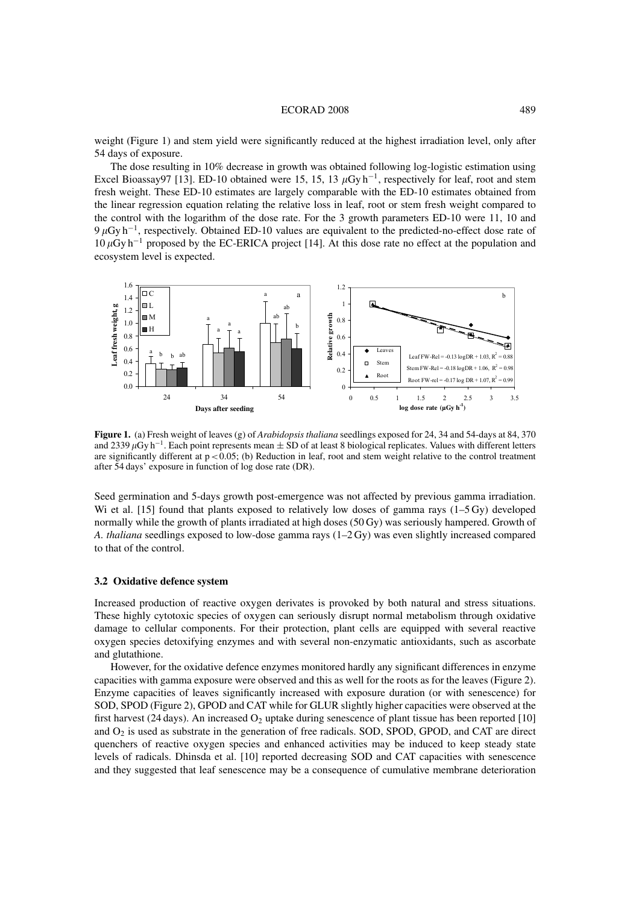#### ECORAD 2008 489

weight (Figure 1) and stem yield were significantly reduced at the highest irradiation level, only after 54 days of exposure.

The dose resulting in 10% decrease in growth was obtained following log-logistic estimation using Excel Bioassay97 [13]. ED-10 obtained were 15, 15, 13  $\mu$ Gy h<sup>-1</sup>, respectively for leaf, root and stem fresh weight. These ED-10 estimates are largely comparable with the ED-10 estimates obtained from the linear regression equation relating the relative loss in leaf, root or stem fresh weight compared to the control with the logarithm of the dose rate. For the 3 growth parameters ED-10 were 11, 10 and  $9 \mu$ Gy h<sup>-1</sup>, respectively. Obtained ED-10 values are equivalent to the predicted-no-effect dose rate of  $10 \mu Gy$  h<sup>-1</sup> proposed by the EC-ERICA project [14]. At this dose rate no effect at the population and ecosystem level is expected.



**Figure 1.** (a) Fresh weight of leaves (g) of *Arabidopsis thaliana* seedlings exposed for 24, 34 and 54-days at 84, 370 and 2339  $\mu$ Gy h<sup>-1</sup>. Each point represents mean  $\pm$  SD of at least 8 biological replicates. Values with different letters are significantly different at  $p < 0.05$ ; (b) Reduction in leaf, root and stem weight relative to the control treatment after 54 days' exposure in function of log dose rate (DR).

Seed germination and 5-days growth post-emergence was not affected by previous gamma irradiation. Wi et al. [15] found that plants exposed to relatively low doses of gamma rays (1–5 Gy) developed normally while the growth of plants irradiated at high doses (50 Gy) was seriously hampered. Growth of *A. thaliana* seedlings exposed to low-dose gamma rays (1–2 Gy) was even slightly increased compared to that of the control.

### **3.2 Oxidative defence system**

Increased production of reactive oxygen derivates is provoked by both natural and stress situations. These highly cytotoxic species of oxygen can seriously disrupt normal metabolism through oxidative damage to cellular components. For their protection, plant cells are equipped with several reactive oxygen species detoxifying enzymes and with several non-enzymatic antioxidants, such as ascorbate and glutathione.

However, for the oxidative defence enzymes monitored hardly any significant differences in enzyme capacities with gamma exposure were observed and this as well for the roots as for the leaves (Figure 2). Enzyme capacities of leaves significantly increased with exposure duration (or with senescence) for SOD, SPOD (Figure 2), GPOD and CAT while for GLUR slightly higher capacities were observed at the first harvest (24 days). An increased  $O_2$  uptake during senescence of plant tissue has been reported [10] and  $O_2$  is used as substrate in the generation of free radicals. SOD, SPOD, GPOD, and CAT are direct quenchers of reactive oxygen species and enhanced activities may be induced to keep steady state levels of radicals. Dhinsda et al. [10] reported decreasing SOD and CAT capacities with senescence and they suggested that leaf senescence may be a consequence of cumulative membrane deterioration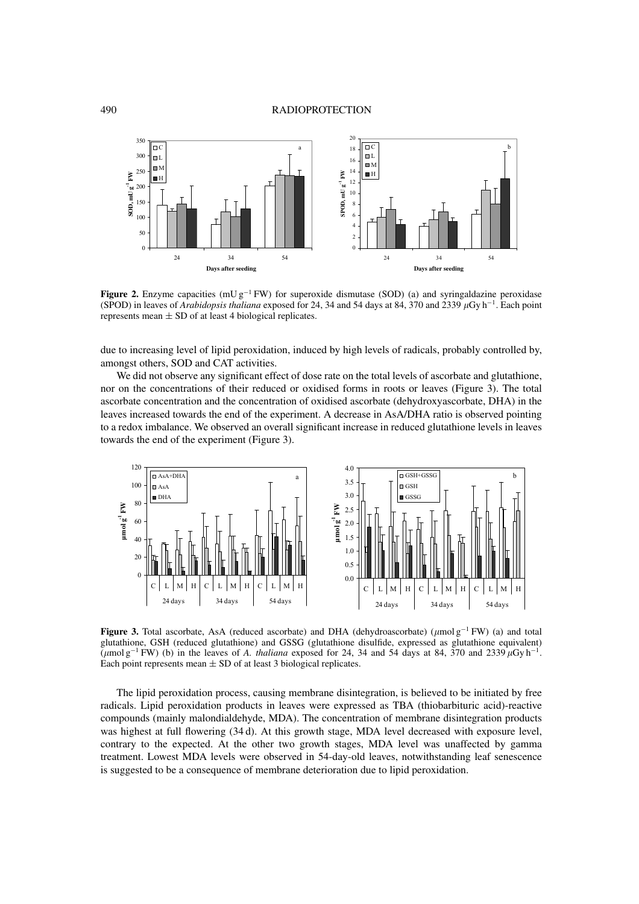

**Figure 2.** Enzyme capacities (mU  $g^{-1}$  FW) for superoxide dismutase (SOD) (a) and syringaldazine peroxidase (SPOD) in leaves of *Arabidopsis thaliana* exposed for 24, 34 and 54 days at 84, 370 and 2339 µGy h<sup>-1</sup>. Each point represents mean  $\pm$  SD of at least 4 biological replicates.

due to increasing level of lipid peroxidation, induced by high levels of radicals, probably controlled by, amongst others, SOD and CAT activities.

We did not observe any significant effect of dose rate on the total levels of ascorbate and glutathione, nor on the concentrations of their reduced or oxidised forms in roots or leaves (Figure 3). The total ascorbate concentration and the concentration of oxidised ascorbate (dehydroxyascorbate, DHA) in the leaves increased towards the end of the experiment. A decrease in AsA/DHA ratio is observed pointing to a redox imbalance. We observed an overall significant increase in reduced glutathione levels in leaves towards the end of the experiment (Figure 3).



**Figure 3.** Total ascorbate, AsA (reduced ascorbate) and DHA (dehydroascorbate) ( $\mu$ mol g<sup>−1</sup> FW) (a) and total glutathione, GSH (reduced glutathione) and GSSG (glutathione disulfide, expressed as glutathione equivalent) ( $\mu$ mol g<sup>-1</sup> FW) (b) in the leaves of *A. thaliana* exposed for 24, 34 and 54 days at 84, 370 and 2339  $\mu$ Gy h<sup>-1</sup>. Each point represents mean  $\pm$  SD of at least 3 biological replicates.

The lipid peroxidation process, causing membrane disintegration, is believed to be initiated by free radicals. Lipid peroxidation products in leaves were expressed as TBA (thiobarbituric acid)-reactive compounds (mainly malondialdehyde, MDA). The concentration of membrane disintegration products was highest at full flowering (34 d). At this growth stage, MDA level decreased with exposure level, contrary to the expected. At the other two growth stages, MDA level was unaffected by gamma treatment. Lowest MDA levels were observed in 54-day-old leaves, notwithstanding leaf senescence is suggested to be a consequence of membrane deterioration due to lipid peroxidation.